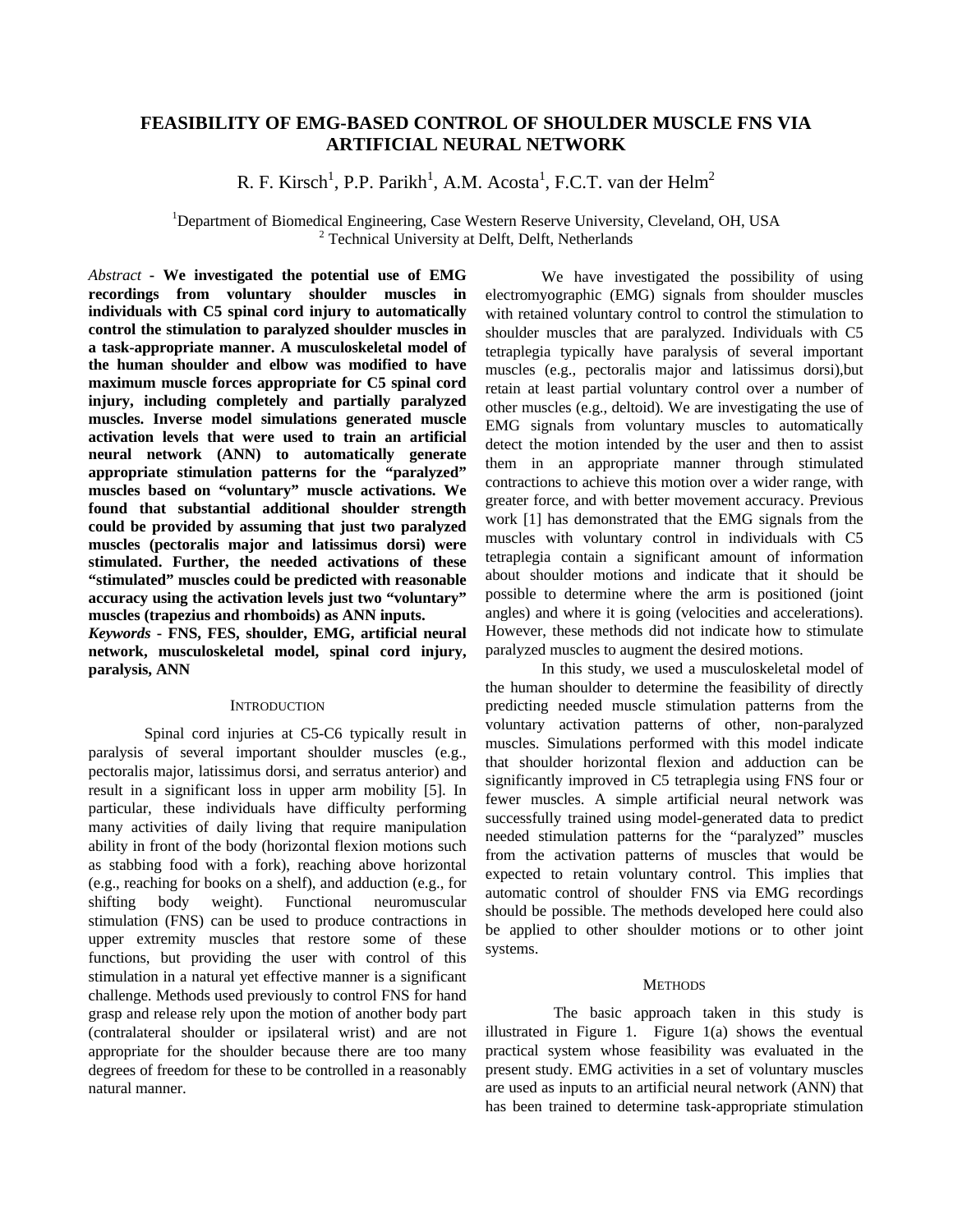# **FEASIBILITY OF EMG-BASED CONTROL OF SHOULDER MUSCLE FNS VIA ARTIFICIAL NEURAL NETWORK**

R. F. Kirsch<sup>1</sup>, P.P. Parikh<sup>1</sup>, A.M. Acosta<sup>1</sup>, F.C.T. van der Helm<sup>2</sup>

<sup>1</sup>Department of Biomedical Engineering, Case Western Reserve University, Cleveland, OH, USA <sup>2</sup> Technical University at Delft, Delft, Netherlands

*Abstract* **- We investigated the potential use of EMG recordings from voluntary shoulder muscles in individuals with C5 spinal cord injury to automatically control the stimulation to paralyzed shoulder muscles in a task-appropriate manner. A musculoskeletal model of the human shoulder and elbow was modified to have maximum muscle forces appropriate for C5 spinal cord injury, including completely and partially paralyzed muscles. Inverse model simulations generated muscle activation levels that were used to train an artificial neural network (ANN) to automatically generate appropriate stimulation patterns for the "paralyzed" muscles based on "voluntary" muscle activations. We found that substantial additional shoulder strength could be provided by assuming that just two paralyzed muscles (pectoralis major and latissimus dorsi) were stimulated. Further, the needed activations of these "stimulated" muscles could be predicted with reasonable accuracy using the activation levels just two "voluntary" muscles (trapezius and rhomboids) as ANN inputs.**

*Keywords* **- FNS, FES, shoulder, EMG, artificial neural network, musculoskeletal model, spinal cord injury, paralysis, ANN**

#### **INTRODUCTION**

Spinal cord injuries at C5-C6 typically result in paralysis of several important shoulder muscles (e.g., pectoralis major, latissimus dorsi, and serratus anterior) and result in a significant loss in upper arm mobility [5]. In particular, these individuals have difficulty performing many activities of daily living that require manipulation ability in front of the body (horizontal flexion motions such as stabbing food with a fork), reaching above horizontal (e.g., reaching for books on a shelf), and adduction (e.g., for shifting body weight). Functional neuromuscular stimulation (FNS) can be used to produce contractions in upper extremity muscles that restore some of these functions, but providing the user with control of this stimulation in a natural yet effective manner is a significant challenge. Methods used previously to control FNS for hand grasp and release rely upon the motion of another body part (contralateral shoulder or ipsilateral wrist) and are not appropriate for the shoulder because there are too many degrees of freedom for these to be controlled in a reasonably natural manner.

We have investigated the possibility of using electromyographic (EMG) signals from shoulder muscles with retained voluntary control to control the stimulation to shoulder muscles that are paralyzed. Individuals with C5 tetraplegia typically have paralysis of several important muscles (e.g., pectoralis major and latissimus dorsi),but retain at least partial voluntary control over a number of other muscles (e.g., deltoid). We are investigating the use of EMG signals from voluntary muscles to automatically detect the motion intended by the user and then to assist them in an appropriate manner through stimulated contractions to achieve this motion over a wider range, with greater force, and with better movement accuracy. Previous work [1] has demonstrated that the EMG signals from the muscles with voluntary control in individuals with C5 tetraplegia contain a significant amount of information about shoulder motions and indicate that it should be possible to determine where the arm is positioned (joint angles) and where it is going (velocities and accelerations). However, these methods did not indicate how to stimulate paralyzed muscles to augment the desired motions.

In this study, we used a musculoskeletal model of the human shoulder to determine the feasibility of directly predicting needed muscle stimulation patterns from the voluntary activation patterns of other, non-paralyzed muscles. Simulations performed with this model indicate that shoulder horizontal flexion and adduction can be significantly improved in C5 tetraplegia using FNS four or fewer muscles. A simple artificial neural network was successfully trained using model-generated data to predict needed stimulation patterns for the "paralyzed" muscles from the activation patterns of muscles that would be expected to retain voluntary control. This implies that automatic control of shoulder FNS via EMG recordings should be possible. The methods developed here could also be applied to other shoulder motions or to other joint systems.

### **METHODS**

 The basic approach taken in this study is illustrated in Figure 1. Figure 1(a) shows the eventual practical system whose feasibility was evaluated in the present study. EMG activities in a set of voluntary muscles are used as inputs to an artificial neural network (ANN) that has been trained to determine task-appropriate stimulation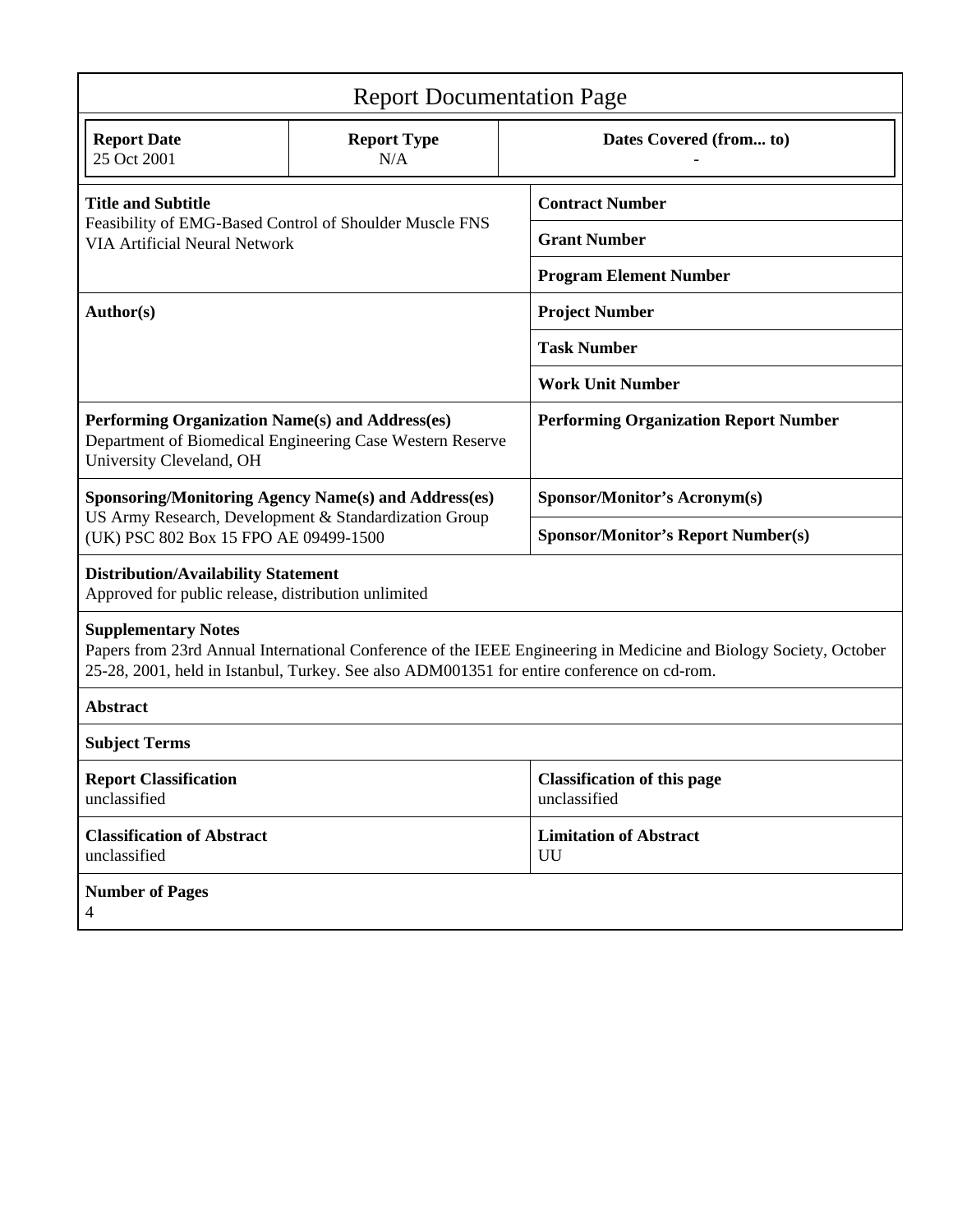| <b>Report Documentation Page</b>                                                                                                                                                                                                              |                           |                                                    |
|-----------------------------------------------------------------------------------------------------------------------------------------------------------------------------------------------------------------------------------------------|---------------------------|----------------------------------------------------|
| <b>Report Date</b><br>25 Oct 2001                                                                                                                                                                                                             | <b>Report Type</b><br>N/A | Dates Covered (from to)                            |
| <b>Title and Subtitle</b><br>Feasibility of EMG-Based Control of Shoulder Muscle FNS<br><b>VIA Artificial Neural Network</b>                                                                                                                  |                           | <b>Contract Number</b>                             |
|                                                                                                                                                                                                                                               |                           | <b>Grant Number</b>                                |
|                                                                                                                                                                                                                                               |                           | <b>Program Element Number</b>                      |
| Author(s)                                                                                                                                                                                                                                     |                           | <b>Project Number</b>                              |
|                                                                                                                                                                                                                                               |                           | <b>Task Number</b>                                 |
|                                                                                                                                                                                                                                               |                           | <b>Work Unit Number</b>                            |
| Performing Organization Name(s) and Address(es)<br>Department of Biomedical Engineering Case Western Reserve<br>University Cleveland, OH                                                                                                      |                           | <b>Performing Organization Report Number</b>       |
| <b>Sponsoring/Monitoring Agency Name(s) and Address(es)</b><br>US Army Research, Development & Standardization Group<br>(UK) PSC 802 Box 15 FPO AE 09499-1500                                                                                 |                           | <b>Sponsor/Monitor's Acronym(s)</b>                |
|                                                                                                                                                                                                                                               |                           | <b>Sponsor/Monitor's Report Number(s)</b>          |
| <b>Distribution/Availability Statement</b><br>Approved for public release, distribution unlimited                                                                                                                                             |                           |                                                    |
| <b>Supplementary Notes</b><br>Papers from 23rd Annual International Conference of the IEEE Engineering in Medicine and Biology Society, October<br>25-28, 2001, held in Istanbul, Turkey. See also ADM001351 for entire conference on cd-rom. |                           |                                                    |
| <b>Abstract</b>                                                                                                                                                                                                                               |                           |                                                    |
| <b>Subject Terms</b>                                                                                                                                                                                                                          |                           |                                                    |
| <b>Report Classification</b><br>unclassified                                                                                                                                                                                                  |                           | <b>Classification of this page</b><br>unclassified |
| <b>Classification of Abstract</b><br>unclassified                                                                                                                                                                                             |                           | <b>Limitation of Abstract</b><br>UU                |
| <b>Number of Pages</b><br>4                                                                                                                                                                                                                   |                           |                                                    |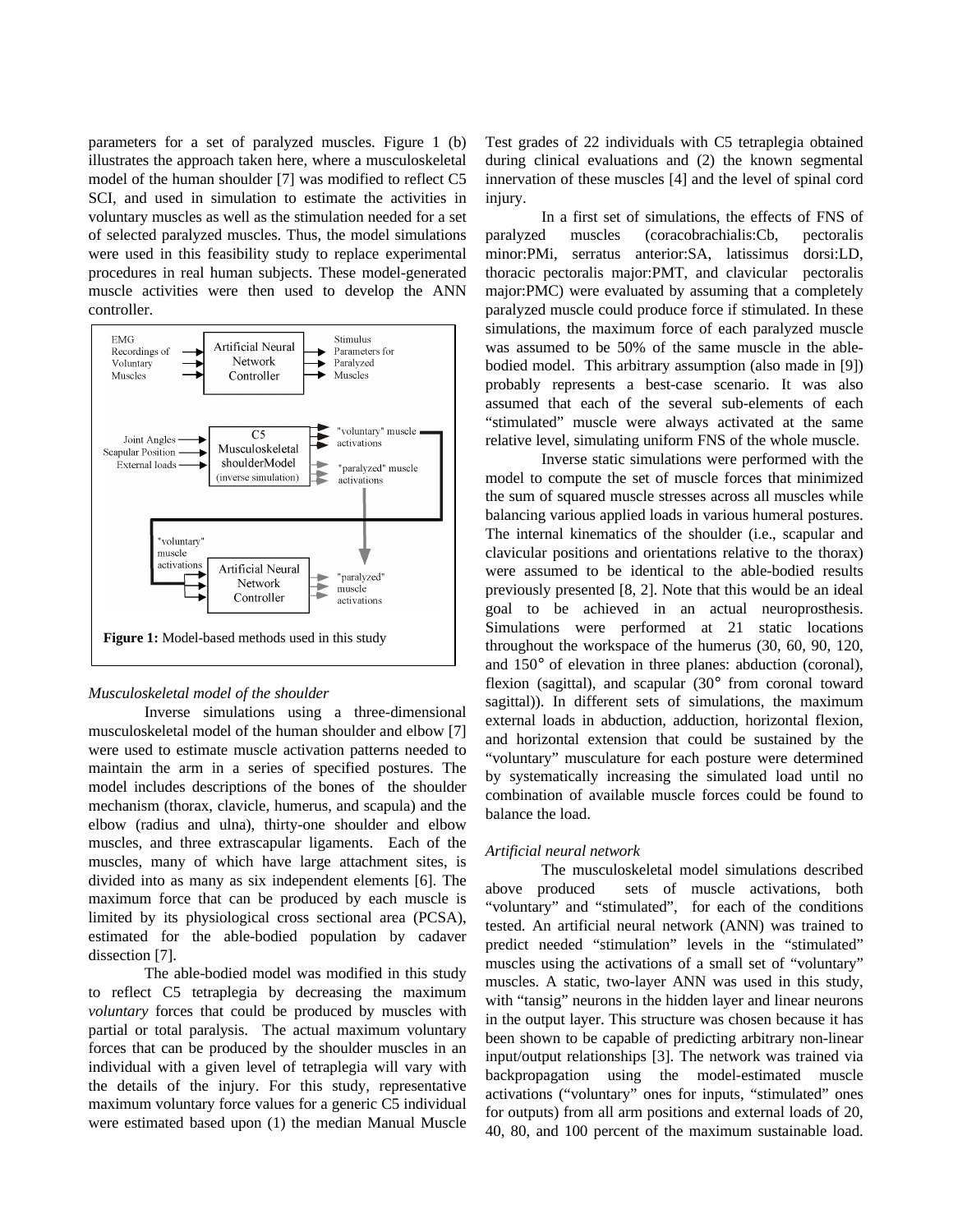parameters for a set of paralyzed muscles. Figure 1 (b) illustrates the approach taken here, where a musculoskeletal model of the human shoulder [7] was modified to reflect C5 SCI, and used in simulation to estimate the activities in voluntary muscles as well as the stimulation needed for a set of selected paralyzed muscles. Thus, the model simulations were used in this feasibility study to replace experimental procedures in real human subjects. These model-generated muscle activities were then used to develop the ANN controller.



## *Musculoskeletal model of the shoulder*

Inverse simulations using a three-dimensional musculoskeletal model of the human shoulder and elbow [7] were used to estimate muscle activation patterns needed to maintain the arm in a series of specified postures. The model includes descriptions of the bones of the shoulder mechanism (thorax, clavicle, humerus, and scapula) and the elbow (radius and ulna), thirty-one shoulder and elbow muscles, and three extrascapular ligaments. Each of the muscles, many of which have large attachment sites, is divided into as many as six independent elements [6]. The maximum force that can be produced by each muscle is limited by its physiological cross sectional area (PCSA), estimated for the able-bodied population by cadaver dissection [7].

The able-bodied model was modified in this study to reflect C5 tetraplegia by decreasing the maximum *voluntary* forces that could be produced by muscles with partial or total paralysis. The actual maximum voluntary forces that can be produced by the shoulder muscles in an individual with a given level of tetraplegia will vary with the details of the injury. For this study, representative maximum voluntary force values for a generic C5 individual were estimated based upon (1) the median Manual Muscle Test grades of 22 individuals with C5 tetraplegia obtained during clinical evaluations and (2) the known segmental innervation of these muscles [4] and the level of spinal cord injury.

In a first set of simulations, the effects of FNS of paralyzed muscles (coracobrachialis:Cb, pectoralis minor:PMi, serratus anterior:SA, latissimus dorsi:LD, thoracic pectoralis major:PMT, and clavicular pectoralis major:PMC) were evaluated by assuming that a completely paralyzed muscle could produce force if stimulated. In these simulations, the maximum force of each paralyzed muscle was assumed to be 50% of the same muscle in the ablebodied model. This arbitrary assumption (also made in [9]) probably represents a best-case scenario. It was also assumed that each of the several sub-elements of each "stimulated" muscle were always activated at the same relative level, simulating uniform FNS of the whole muscle.

Inverse static simulations were performed with the model to compute the set of muscle forces that minimized the sum of squared muscle stresses across all muscles while balancing various applied loads in various humeral postures. The internal kinematics of the shoulder (i.e., scapular and clavicular positions and orientations relative to the thorax) were assumed to be identical to the able-bodied results previously presented [8, 2]. Note that this would be an ideal goal to be achieved in an actual neuroprosthesis. Simulations were performed at 21 static locations throughout the workspace of the humerus (30, 60, 90, 120, and 150° of elevation in three planes: abduction (coronal), flexion (sagittal), and scapular (30° from coronal toward sagittal)). In different sets of simulations, the maximum external loads in abduction, adduction, horizontal flexion, and horizontal extension that could be sustained by the "voluntary" musculature for each posture were determined by systematically increasing the simulated load until no combination of available muscle forces could be found to balance the load.

### *Artificial neural network*

The musculoskeletal model simulations described above produced sets of muscle activations, both "voluntary" and "stimulated", for each of the conditions tested. An artificial neural network (ANN) was trained to predict needed "stimulation" levels in the "stimulated" muscles using the activations of a small set of "voluntary" muscles. A static, two-layer ANN was used in this study, with "tansig" neurons in the hidden layer and linear neurons in the output layer. This structure was chosen because it has been shown to be capable of predicting arbitrary non-linear input/output relationships [3]. The network was trained via backpropagation using the model-estimated muscle activations ("voluntary" ones for inputs, "stimulated" ones for outputs) from all arm positions and external loads of 20, 40, 80, and 100 percent of the maximum sustainable load.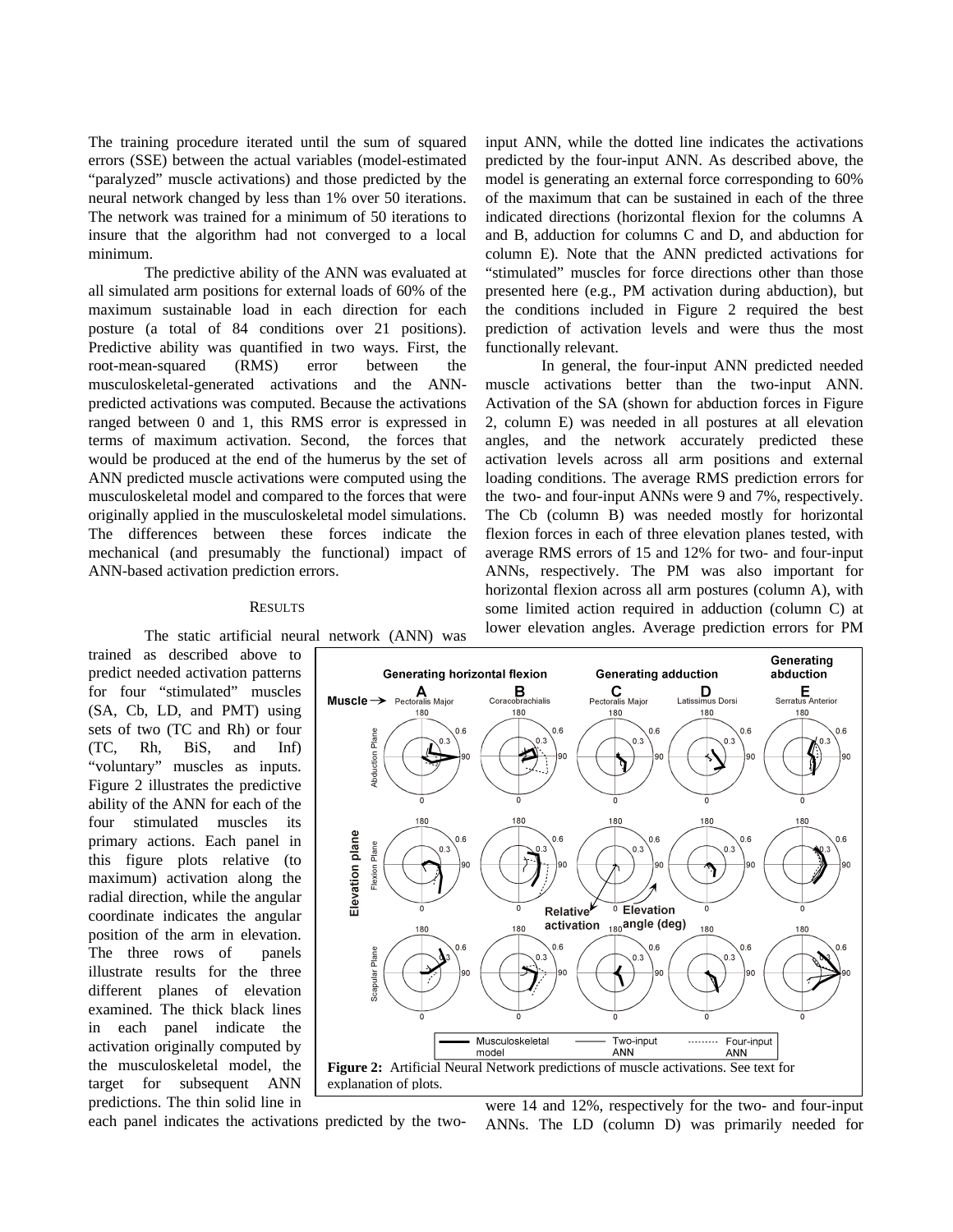The training procedure iterated until the sum of squared errors (SSE) between the actual variables (model-estimated "paralyzed" muscle activations) and those predicted by the neural network changed by less than 1% over 50 iterations. The network was trained for a minimum of 50 iterations to insure that the algorithm had not converged to a local minimum.

The predictive ability of the ANN was evaluated at all simulated arm positions for external loads of 60% of the maximum sustainable load in each direction for each posture (a total of 84 conditions over 21 positions). Predictive ability was quantified in two ways. First, the root-mean-squared (RMS) error between the musculoskeletal-generated activations and the ANNpredicted activations was computed. Because the activations ranged between 0 and 1, this RMS error is expressed in terms of maximum activation. Second, the forces that would be produced at the end of the humerus by the set of ANN predicted muscle activations were computed using the musculoskeletal model and compared to the forces that were originally applied in the musculoskeletal model simulations. The differences between these forces indicate the mechanical (and presumably the functional) impact of ANN-based activation prediction errors.

#### RESULTS

The static artificial neural network (ANN) was

trained as described above to predict needed activation patterns for four "stimulated" muscles (SA, Cb, LD, and PMT) using sets of two (TC and Rh) or four (TC, Rh, BiS, and Inf) "voluntary" muscles as inputs. Figure 2 illustrates the predictive ability of the ANN for each of the four stimulated muscles its primary actions. Each panel in this figure plots relative (to maximum) activation along the radial direction, while the angular coordinate indicates the angular position of the arm in elevation. The three rows of panels illustrate results for the three different planes of elevation examined. The thick black lines in each panel indicate the activation originally computed by the musculoskeletal model, the target for subsequent ANN predictions. The thin solid line in

input ANN, while the dotted line indicates the activations predicted by the four-input ANN. As described above, the model is generating an external force corresponding to 60% of the maximum that can be sustained in each of the three indicated directions (horizontal flexion for the columns A and B, adduction for columns C and D, and abduction for column E). Note that the ANN predicted activations for "stimulated" muscles for force directions other than those presented here (e.g., PM activation during abduction), but the conditions included in Figure 2 required the best prediction of activation levels and were thus the most functionally relevant.

In general, the four-input ANN predicted needed muscle activations better than the two-input ANN. Activation of the SA (shown for abduction forces in Figure 2, column E) was needed in all postures at all elevation angles, and the network accurately predicted these activation levels across all arm positions and external loading conditions. The average RMS prediction errors for the two- and four-input ANNs were 9 and 7%, respectively. The Cb (column B) was needed mostly for horizontal flexion forces in each of three elevation planes tested, with average RMS errors of 15 and 12% for two- and four-input ANNs, respectively. The PM was also important for horizontal flexion across all arm postures (column A), with some limited action required in adduction (column C) at lower elevation angles. Average prediction errors for PM



each panel indicates the activations predicted by the two-

were 14 and 12%, respectively for the two- and four-input ANNs. The LD (column D) was primarily needed for